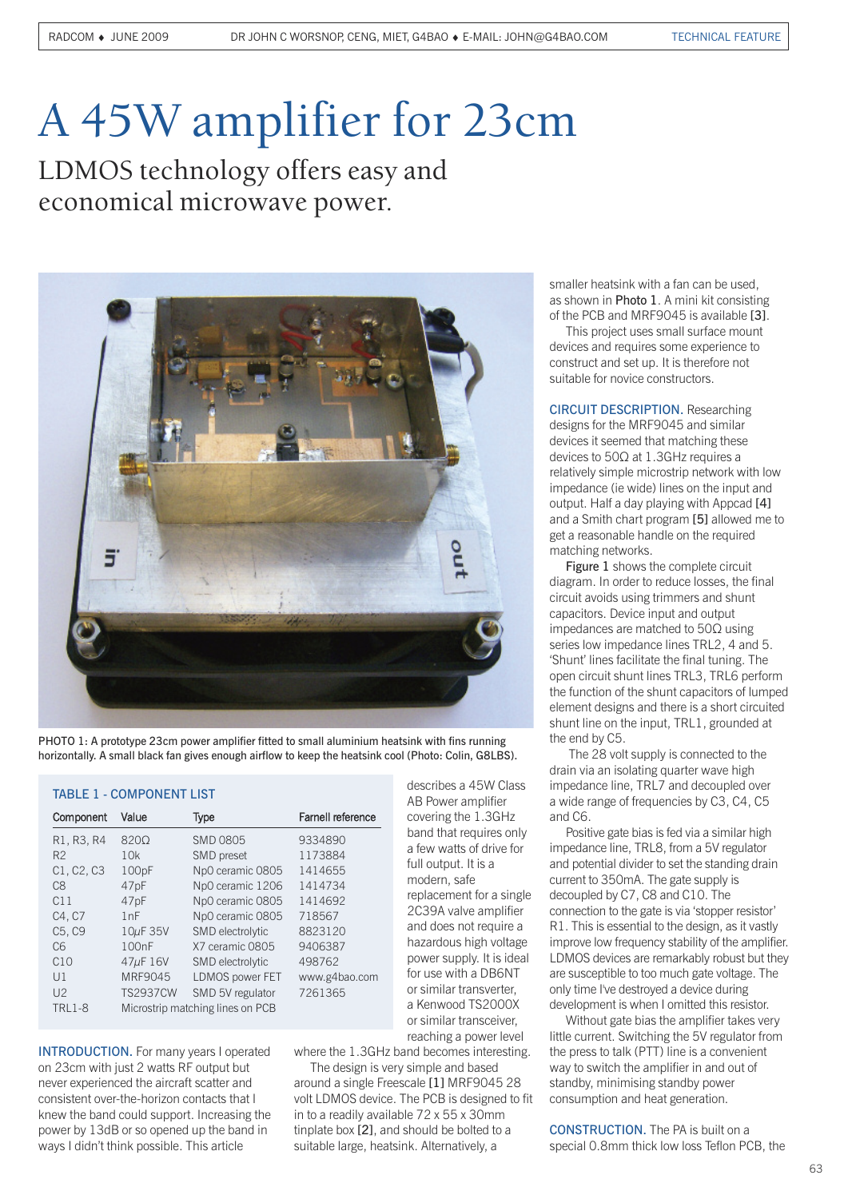# A 45W amplifier for 23cm

LDMOS technology offers easy and economical microwave power.



PHOTO 1: A prototype 23cm power amplifier fitted to small aluminium heatsink with fins running horizontally. A small black fan gives enough airflow to keep the heatsink cool (Photo: Colin, G8LBS).

### TABLE 1 - COMPONENT LIST

| Component                       | Value                            | Type                    | <b>Farnell reference</b> |
|---------------------------------|----------------------------------|-------------------------|--------------------------|
| R1, R3, R4                      | 8200                             | <b>SMD 0805</b>         | 9334890                  |
| R <sub>2</sub>                  | 10k                              | SMD preset              | 1173884                  |
| C1, C2, C3                      | 100pF                            | Np0 ceramic 0805        | 1414655                  |
| C8                              | 47pF                             | Np0 ceramic 1206        | 1414734                  |
| C11                             | 47pF                             | Np0 ceramic 0805        | 1414692                  |
| C4, C7                          | 1nF                              | Np0 ceramic 0805        | 718567                   |
| C <sub>5</sub> , C <sub>9</sub> | $10\mu$ F 35V                    | SMD electrolytic        | 8823120                  |
| C <sub>6</sub>                  | 100 <sub>n</sub> F               | X7 ceramic 0805         | 9406387                  |
| C10                             | 47µF 16V                         | <b>SMD</b> electrolytic | 498762                   |
| J1                              | MRF9045                          | LDMOS power FET         | www.g4bao.com            |
| 112                             | <b>TS2937CW</b>                  | SMD 5V regulator        | 7261365                  |
| <b>TRL1-8</b>                   | Microstrip matching lines on PCB |                         |                          |

INTRODUCTION. For many years I operated on 23cm with just 2 watts RF output but never experienced the aircraft scatter and consistent over-the-horizon contacts that I knew the band could support. Increasing the power by 13dB or so opened up the band in ways I didn't think possible. This article

describes a 45W Class AB Power amplifier covering the 1.3GHz band that requires only a few watts of drive for full output. It is a modern, safe replacement for a single 2C39A valve amplifier and does not require a hazardous high voltage power supply. It is ideal for use with a DB6NT or similar transverter, a Kenwood TS2000X or similar transceiver, reaching a power level

where the 1.3GHz band becomes interesting. The design is very simple and based

around a single Freescale [1] MRF9045 28 volt LDMOS device. The PCB is designed to fit in to a readily available 72 x 55 x 30mm tinplate box [2], and should be bolted to a suitable large, heatsink. Alternatively, a

smaller heatsink with a fan can be used, as shown in Photo 1. A mini kit consisting of the PCB and MRF9045 is available [3].

This project uses small surface mount devices and requires some experience to construct and set up. It is therefore not suitable for novice constructors.

CIRCUIT DESCRIPTION. Researching designs for the MRF9045 and similar devices it seemed that matching these devices to 50Ω at 1.3GHz requires a relatively simple microstrip network with low impedance (ie wide) lines on the input and output. Half a day playing with Appcad [4] and a Smith chart program [5] allowed me to get a reasonable handle on the required matching networks.

Figure 1 shows the complete circuit diagram. In order to reduce losses, the final circuit avoids using trimmers and shunt capacitors. Device input and output impedances are matched to 50Ω using series low impedance lines TRL2, 4 and 5. 'Shunt' lines facilitate the final tuning. The open circuit shunt lines TRL3, TRL6 perform the function of the shunt capacitors of lumped element designs and there is a short circuited shunt line on the input, TRL1, grounded at the end by C5.

The 28 volt supply is connected to the drain via an isolating quarter wave high impedance line, TRL7 and decoupled over a wide range of frequencies by C3, C4, C5 and C6.

Positive gate bias is fed via a similar high impedance line, TRL8, from a 5V regulator and potential divider to set the standing drain current to 350mA. The gate supply is decoupled by C7, C8 and C10. The connection to the gate is via 'stopper resistor' R1. This is essential to the design, as it vastly improve low frequency stability of the amplifier. LDMOS devices are remarkably robust but they are susceptible to too much gate voltage. The only time I've destroyed a device during development is when I omitted this resistor.

Without gate bias the amplifier takes very little current. Switching the 5V regulator from the press to talk (PTT) line is a convenient way to switch the amplifier in and out of standby, minimising standby power consumption and heat generation.

CONSTRUCTION. The PA is built on a special 0.8mm thick low loss Teflon PCB, the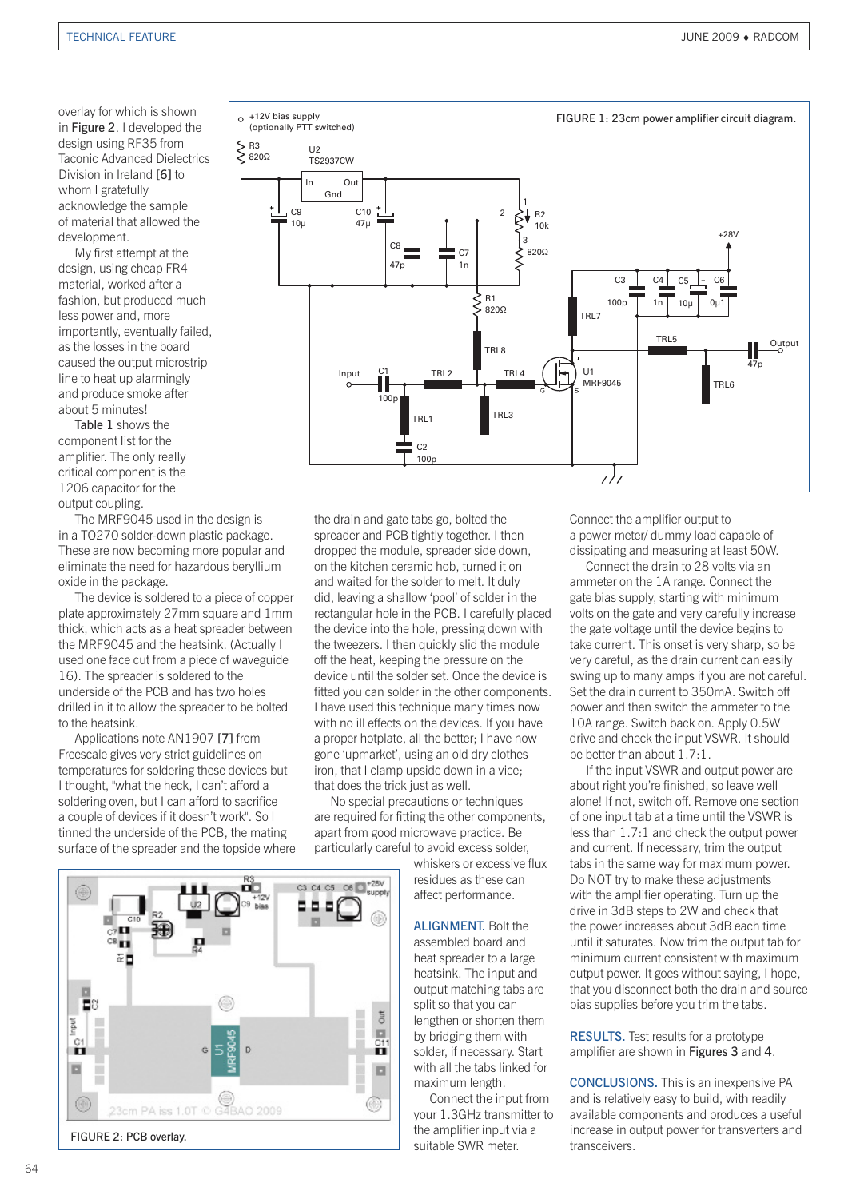overlay for which is shown in Figure 2. I developed the design using RF35 from Taconic Advanced Dielectrics Division in Ireland [6] to whom I gratefully acknowledge the sample of material that allowed the development.

My first attempt at the design, using cheap FR4 material, worked after a fashion, but produced much less power and, more importantly, eventually failed, as the losses in the board caused the output microstrip line to heat up alarmingly and produce smoke after about 5 minutes!

Table 1 shows the component list for the amplifier. The only really critical component is the 1206 capacitor for the output coupling.

The MRF9045 used in the design is in a TO270 solder-down plastic package. These are now becoming more popular and eliminate the need for hazardous beryllium oxide in the package.

The device is soldered to a piece of copper plate approximately 27mm square and 1mm thick, which acts as a heat spreader between the MRF9045 and the heatsink. (Actually I used one face cut from a piece of waveguide 16). The spreader is soldered to the underside of the PCB and has two holes drilled in it to allow the spreader to be bolted to the heatsink.

Applications note AN1907 [7] from Freescale gives very strict guidelines on temperatures for soldering these devices but I thought, "what the heck, I can't afford a soldering oven, but I can afford to sacrifice a couple of devices if it doesn't work". So I tinned the underside of the PCB, the mating surface of the spreader and the topside where





the drain and gate tabs go, bolted the spreader and PCB tightly together. I then dropped the module, spreader side down, on the kitchen ceramic hob, turned it on and waited for the solder to melt. It duly did, leaving a shallow 'pool' of solder in the rectangular hole in the PCB. I carefully placed the device into the hole, pressing down with the tweezers. I then quickly slid the module off the heat, keeping the pressure on the device until the solder set. Once the device is fitted you can solder in the other components. I have used this technique many times now with no ill effects on the devices. If you have a proper hotplate, all the better; I have now gone 'upmarket', using an old dry clothes iron, that I clamp upside down in a vice; that does the trick just as well.

No special precautions or techniques are required for fitting the other components, apart from good microwave practice. Be particularly careful to avoid excess solder,

> whiskers or excessive flux residues as these can affect performance.

> ALIGNMENT. Bolt the assembled board and heat spreader to a large heatsink. The input and output matching tabs are split so that you can lengthen or shorten them by bridging them with solder, if necessary. Start with all the tabs linked for maximum length.

Connect the input from your 1.3GHz transmitter to the amplifier input via a suitable SWR meter.

Connect the amplifier output to a power meter/ dummy load capable of dissipating and measuring at least 50W.

Connect the drain to 28 volts via an ammeter on the 1A range. Connect the gate bias supply, starting with minimum volts on the gate and very carefully increase the gate voltage until the device begins to take current. This onset is very sharp, so be very careful, as the drain current can easily swing up to many amps if you are not careful. Set the drain current to 350mA. Switch off power and then switch the ammeter to the 10A range. Switch back on. Apply 0.5W drive and check the input VSWR. It should be better than about 1.7:1.

If the input VSWR and output power are about right you're finished, so leave well alone! If not, switch off. Remove one section of one input tab at a time until the VSWR is less than 1.7:1 and check the output power and current. If necessary, trim the output tabs in the same way for maximum power. Do NOT try to make these adjustments with the amplifier operating. Turn up the drive in 3dB steps to 2W and check that the power increases about 3dB each time until it saturates. Now trim the output tab for minimum current consistent with maximum output power. It goes without saying, I hope, that you disconnect both the drain and source bias supplies before you trim the tabs.

RESULTS. Test results for a prototype amplifier are shown in Figures 3 and 4.

CONCLUSIONS. This is an inexpensive PA and is relatively easy to build, with readily available components and produces a useful increase in output power for transverters and transceivers.